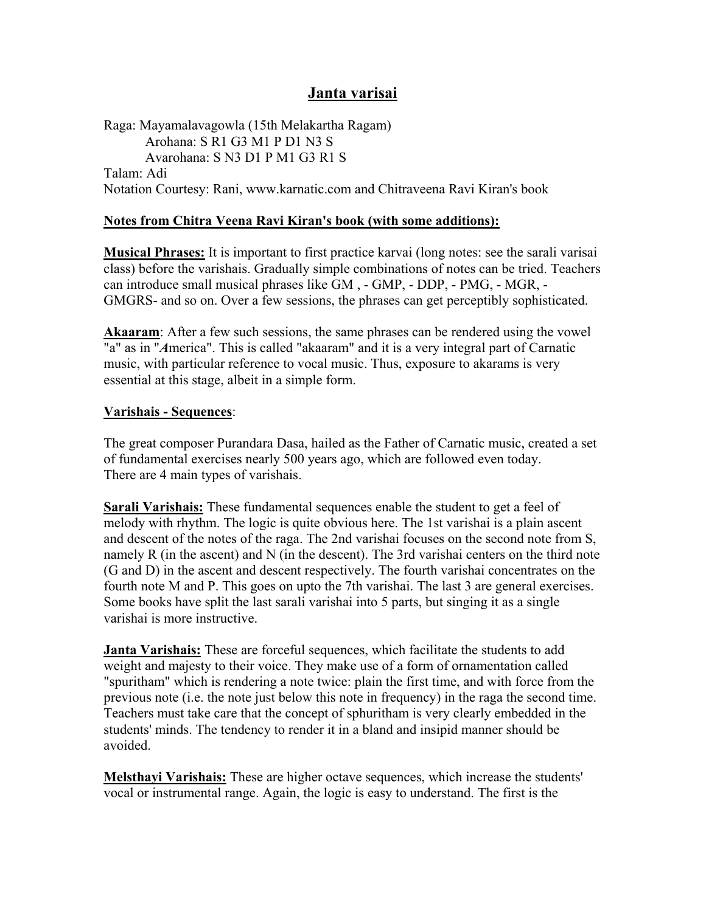# **Janta varisai**

Raga: Mayamalavagowla (15th Melakartha Ragam) Arohana: S R1 G3 M1 P D1 N3 S Avarohana: S N3 D1 P M1 G3 R1 S Talam: Adi Notation Courtesy: Rani, www.karnatic.com and Chitraveena Ravi Kiran's book

### **Notes from Chitra Veena Ravi Kiran's book (with some additions):**

**Musical Phrases:** It is important to first practice karvai (long notes: see the sarali varisai class) before the varishais. Gradually simple combinations of notes can be tried. Teachers can introduce small musical phrases like GM , - GMP, - DDP, - PMG, - MGR, - GMGRS- and so on. Over a few sessions, the phrases can get perceptibly sophisticated.

**Akaaram**: After a few such sessions, the same phrases can be rendered using the vowel "a" as in "*A*merica". This is called "akaaram" and it is a very integral part of Carnatic music, with particular reference to vocal music. Thus, exposure to akarams is very essential at this stage, albeit in a simple form.

#### **Varishais - Sequences**:

The great composer Purandara Dasa, hailed as the Father of Carnatic music, created a set of fundamental exercises nearly 500 years ago, which are followed even today. There are 4 main types of varishais.

**Sarali Varishais:** These fundamental sequences enable the student to get a feel of melody with rhythm. The logic is quite obvious here. The 1st varishai is a plain ascent and descent of the notes of the raga. The 2nd varishai focuses on the second note from S, namely R (in the ascent) and N (in the descent). The 3rd varishai centers on the third note (G and D) in the ascent and descent respectively. The fourth varishai concentrates on the fourth note M and P. This goes on upto the 7th varishai. The last 3 are general exercises. Some books have split the last sarali varishai into 5 parts, but singing it as a single varishai is more instructive.

**Janta Varishais:** These are forceful sequences, which facilitate the students to add weight and majesty to their voice. They make use of a form of ornamentation called "spuritham" which is rendering a note twice: plain the first time, and with force from the previous note (i.e. the note just below this note in frequency) in the raga the second time. Teachers must take care that the concept of sphuritham is very clearly embedded in the students' minds. The tendency to render it in a bland and insipid manner should be avoided.

**Melsthayi Varishais:** These are higher octave sequences, which increase the students' vocal or instrumental range. Again, the logic is easy to understand. The first is the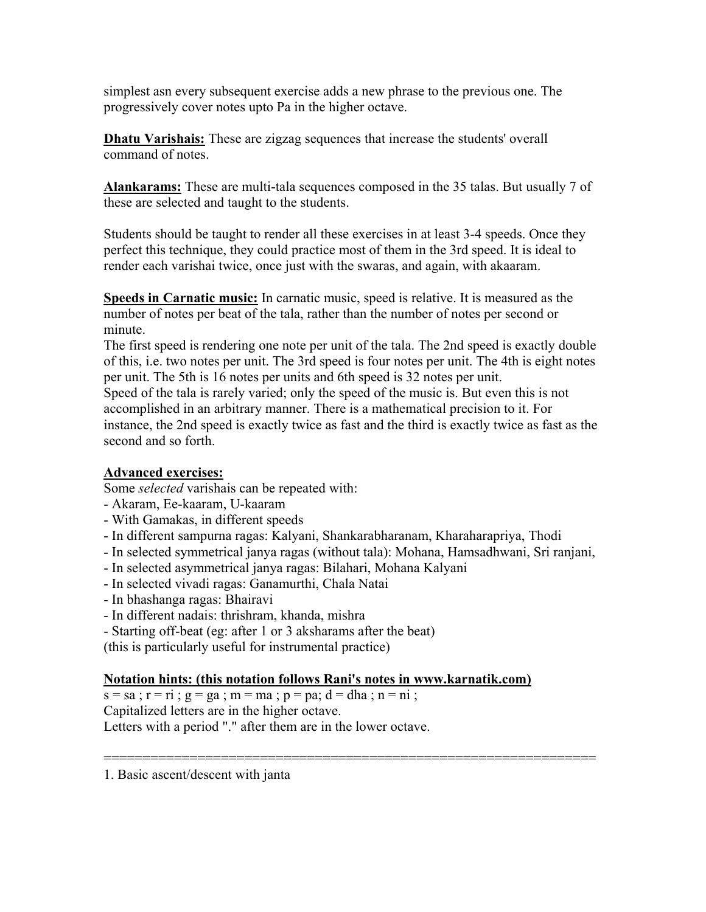simplest asn every subsequent exercise adds a new phrase to the previous one. The progressively cover notes upto Pa in the higher octave.

**Dhatu Varishais:** These are zigzag sequences that increase the students' overall command of notes.

**Alankarams:** These are multi-tala sequences composed in the 35 talas. But usually 7 of these are selected and taught to the students.

Students should be taught to render all these exercises in at least 3-4 speeds. Once they perfect this technique, they could practice most of them in the 3rd speed. It is ideal to render each varishai twice, once just with the swaras, and again, with akaaram.

**Speeds in Carnatic music:** In carnatic music, speed is relative. It is measured as the number of notes per beat of the tala, rather than the number of notes per second or minute.

The first speed is rendering one note per unit of the tala. The 2nd speed is exactly double of this, i.e. two notes per unit. The 3rd speed is four notes per unit. The 4th is eight notes per unit. The 5th is 16 notes per units and 6th speed is 32 notes per unit.

Speed of the tala is rarely varied; only the speed of the music is. But even this is not accomplished in an arbitrary manner. There is a mathematical precision to it. For instance, the 2nd speed is exactly twice as fast and the third is exactly twice as fast as the second and so forth.

## **Advanced exercises:**

Some *selected* varishais can be repeated with:

- Akaram, Ee-kaaram, U-kaaram
- With Gamakas, in different speeds
- In different sampurna ragas: Kalyani, Shankarabharanam, Kharaharapriya, Thodi
- In selected symmetrical janya ragas (without tala): Mohana, Hamsadhwani, Sri ranjani,

===============================================================

- In selected asymmetrical janya ragas: Bilahari, Mohana Kalyani
- In selected vivadi ragas: Ganamurthi, Chala Natai
- In bhashanga ragas: Bhairavi
- In different nadais: thrishram, khanda, mishra
- Starting off-beat (eg: after 1 or 3 aksharams after the beat)

(this is particularly useful for instrumental practice)

## **Notation hints: (this notation follows Rani's notes in www.karnatik.com)**

 $s = sa$ ;  $r = ri$ ;  $g = ga$ ;  $m = ma$ ;  $p = pa$ ;  $d = dha$ ;  $n = ni$ ;

Capitalized letters are in the higher octave.

Letters with a period "." after them are in the lower octave.

1. Basic ascent/descent with janta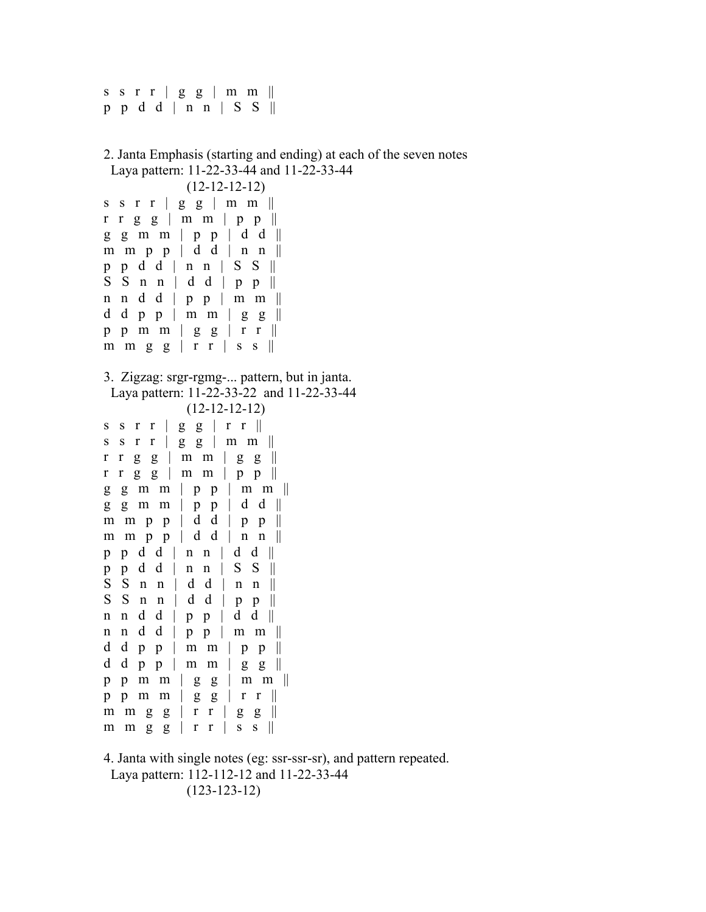s s  $r r | g g | m m ||$ p p d d | n n | S S ||

2. Janta Emphasis (starting and ending) at each of the seven notes Laya pattern: 11-22-33-44 and 11-22-33-44 (12-12-12-12) s s r r  $|$  g g  $|$  m m  $||$  $rr g g \mid m m \mid p p \mid$ g g m m | p p | d d || m m p p  $\vert$  d d  $\vert$  n n  $\vert \vert$ p p d d | n n | S S ||  $S \ S \ n \ n \ d \ d \ p \ p \ ||$ n n d d | p p | m m || d d p p | m m | g g  $\parallel$ p p m m  $|$  g g  $|$  r r  $||$ m m g g  $|$  r r  $|$  s s  $||$ 3. Zigzag: srgr-rgmg-... pattern, but in janta. Laya pattern: 11-22-33-22 and 11-22-33-44 (12-12-12-12) s s r r  $|$  g g  $|$  r r  $||$ s s r r  $|$  g g  $|$  m m  $||$  $rr$  g  $g \mid m$   $m \mid g$   $g \parallel$  $rr g g \mid m m \mid p p \mid$  $g \ g \ m \ m \ | \ p \ p \ | \ m \ m \ ||$  $g \text{ } g \text{ } m \text{ } m \text{ } | \text{ } p \text{ } p \text{ } | \text{ } d \text{ } d \text{ } ||$ m m p p  $\vert$  d d  $\vert$  p p  $\vert \vert$ m m p p  $\vert$  d d  $\vert$  n n  $\vert \vert$ p p d d | n n | d d || p p d d | n n | S S ||  $S \ S \ n \ n \ | \ d \ d \ | \ n \ n \ ||$  $S \ S \ n \ n \ | \ d \ d \ | \ p \ p \ ||$ n n d d | p p | d d || n n d d | p p | m m || d d p p | m m | p p  $\parallel$ d d p p | m m | g g  $\parallel$ p p m m  $|$  g g  $|$  m m  $||$ p p m m  $|$  g g  $|$  r r  $||$ m m g  $g \mid r \mid g \mid g \mid$ m m g g  $|$  r r  $|$  s s  $||$ 

4. Janta with single notes (eg: ssr-ssr-sr), and pattern repeated. Laya pattern: 112-112-12 and 11-22-33-44

(123-123-12)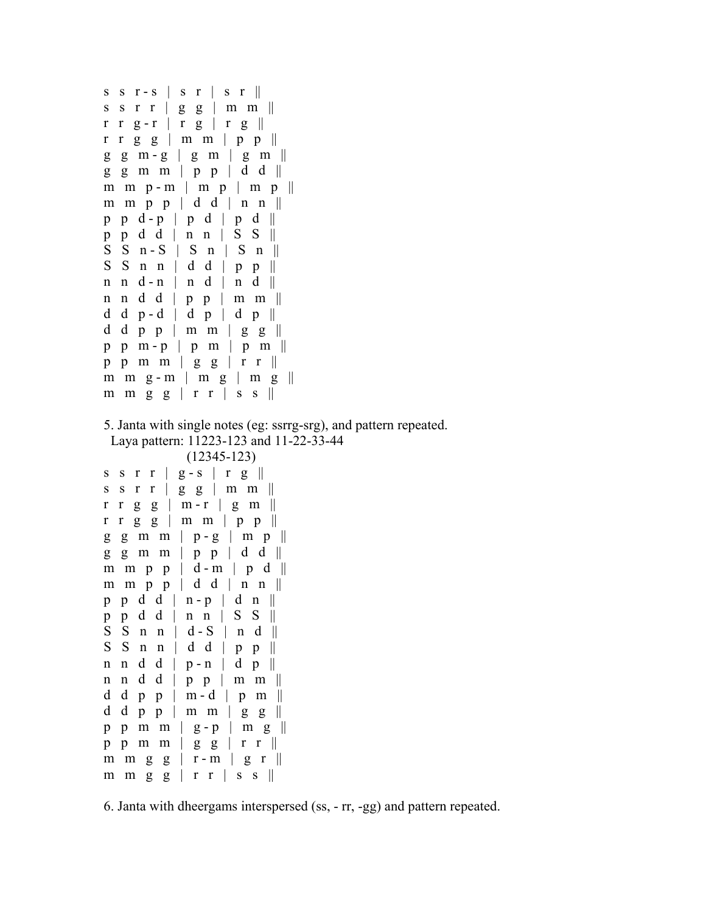```
s \ s \ r - s \ s \ r \ s \ r \ s \ r \ ||s s r r | g g | m m ||r r g-r | r g | r g ||rr g g | m m | p p ||
g \quad g \quad m - g \mid g \quad m \mid g \quad m \parallelg \text{ g m m} | p p | d d ||
m \, m \, p - m \mid m \, p \mid m \, p \parallelm m p p \vert d d \vert n n \vert \vertp \cdot p \cdot d - p \mid p \cdot d \mid p \cdot d \midp p d d | n n | S S || 
S \ S \ n-S \ | \ S \ n \ | \ S \ n \ ||S \ S \ n \ n \ | \ d \ d \ | \ p \ p \ ||n n d - n | n d | n d ||
n n d d | p p | m m || 
d d p - d | d p | d p \paralleld d p p | m m | g g \parallelp \, p \, m - p \, | \, p \, m \, | \, p \, m \, |p p m m | g g | r r ||m m g - m | m g | m g || 
m m g g | r r | s s ||5. Janta with single notes (eg: ssrrg-srg), and pattern repeated. 
  Laya pattern: 11223-123 and 11-22-33-44 
              (12345-123) 
s s r r | g - s | r g || 
s s r r | g g | m m ||r r g g \vert m - r \vert g m \vertr r g g | m m | p p || 
g \text{ g m m } | p - g | m p ||g \text{ g m m} | p p | d d ||
m m p p | d - m | p d ||m m p p \vert d d \vert n n \vert \vertp p d d | n - p | d n || 
p p d d | n n | S S || 
S \ S \ n \ n \ | \ d-S \ | \ n \ d \ ||S \ S \ n \ n \ | \ d \ d \ | \ p \ p \ ||n n d d | p - n | d p || 
n n d d | p p | m m || 
d d p p | m - d | p m \paralleld d p p | m m | g g || 
p p m m | g - p | m g || 
p p m m | g g | r r ||m m g g | r - m | g r \parallelm m g g | r r | s s ||
```
6. Janta with dheergams interspersed (ss, - rr, -gg) and pattern repeated.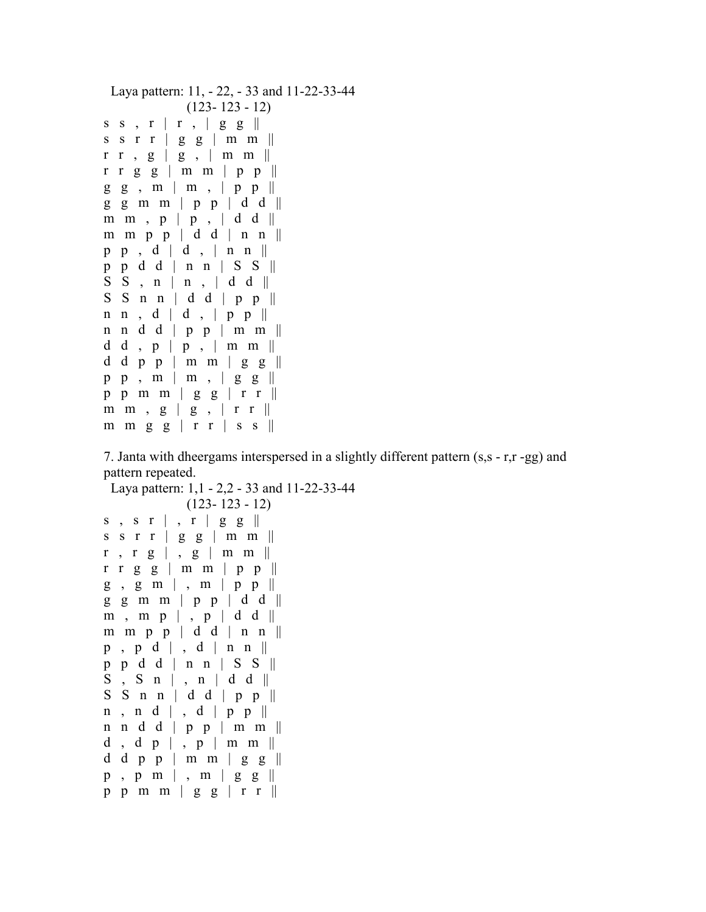```
 Laya pattern: 11, - 22, - 33 and 11-22-33-44 
               (123- 123 - 12) 
s s , r \mid r , | g g \|s s r r | g g | m m ||rr, g | g, | m m ||r r g g \mid m m \mid p p \midg g, m | m, | p p |g g m m | p p | d d || 
m m , p \mid p , \mid d d \parallelm \, m \, p \, p \, d \, d \, m \, n \, mp p , d \mid d , \mid n n \midp p d d | n n | S S || 
S S, n | n, dd \|S \ S \ n \ n \ | \ d \ d \ | \ p \ p \ ||n n, d | d, | p p |n n d d | p p | m m || 
d d , p \mid p , \mid m \mid m \midd d p p | m m | g g \parallelpp, m \mid m, g g \midp p m m | g g | r r \parallel\begin{array}{c|cccccc} m & m & , & g & | & g & , & r & r & || \end{array}m m g g | r r | s s ||
```
7. Janta with dheergams interspersed in a slightly different pattern (s,s - r,r -gg) and pattern repeated.

```
 Laya pattern: 1,1 - 2,2 - 33 and 11-22-33-44 
            (123- 123 - 12) 
s, s r \vert, r \vert g g \verts s r r | g g | m m ||r, r g | , g | m m ||r r g g | m m | p p || 
g, g m |, m | p p ||
g \text{ g m m} | p p | d d ||
m, m p \vert, p \vert d d \vertm m p p | d d | n n || 
p, p d \mid, d \mid n n \midp p d d | n n | S S || 
S, S n | , n | d d ||
S \ S \ n \ n \ | \ d \ d \ | \ p \ p \ ||n, n d |, d | p p ||n n d d | p p | m m || 
d, d p |, p | m m ||
d d p p | m m | g g \parallelp , p m | , m | g g || 
p p m m | g g | r r ||
```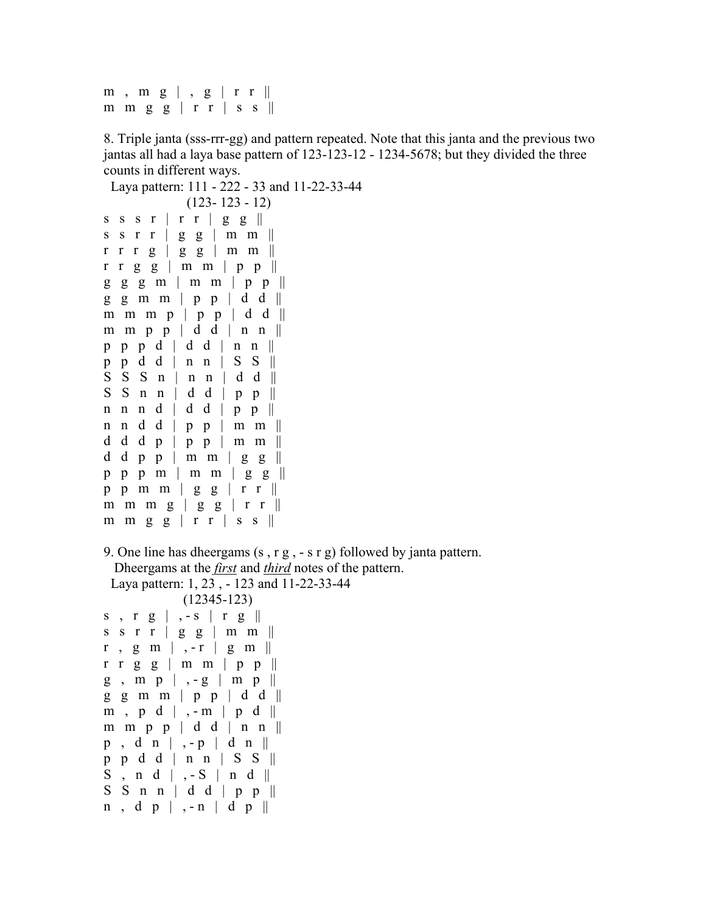```
m, m g \vert , g \vert r r \vertm m g g | r r | s s ||
```
8. Triple janta (sss-rrr-gg) and pattern repeated. Note that this janta and the previous two jantas all had a laya base pattern of 123-123-12 - 1234-5678; but they divided the three

counts in different ways. Laya pattern: 111 - 222 - 33 and 11-22-33-44 (123- 123 - 12) s s s r  $\vert$  r r  $\vert$  g g  $\vert \vert$ s s r r  $|$  g g  $|$  m m  $||$ r r r g | g g | m m ||  $rr$  g g | m m | p p ||  $g \ g \ g \ m \mid m \ m \mid p \ p \ ||$  $g \text{ g m m}$  |  $p p$  | d d || m m m  $p \mid p \mid p \mid d \mid d \mid$ m m p p  $\vert$  d d  $\vert$  n n  $\vert \vert$ p p p d | d d | n n || p p d d | n n | S S ||  $S S S n | n n | d d ||$  $S S n n | d d | p p |$ n n n d | d d | p p ||

d d d p | p p | m m  $\parallel$ d d p p | m m | g g  $\parallel$  $pp$   $p$   $m$  |  $m$   $m$  |  $g$   $g$  || p p m m  $|$  g g  $|$  r r  $||$ m m m g | g g  $|$  r r  $||$ m m g g  $|$  r r  $|$  s s  $||$ 

n n d d | p p | m m ||

9. One line has dheergams (s , r g , - s r g) followed by janta pattern. Dheergams at the *first* and *third* notes of the pattern. Laya pattern: 1, 23 , - 123 and 11-22-33-44

(12345-123)

```
s, r g \vert , - s \vert r g \Verts s r r | g g | m m || 
r, g m \vert, -r \vert g m \vert \vertrr g g \mid m m \mid p p \midg, m p |, -g | m p ||
g \ g \ m \ m \ | \ p \ p \ | \ d \ d \ ||m, p d | , - m | p d ||
m m p p \vert d d \vert n n \vert \vertp, d n | , - p | d n ||
p p d d | n n | S S || 
S, n d | S | n d ||
S \ S \ n \ n \ | \ d \ d \ | \ p \ p \ ||n, d p |, - n | d p ||
```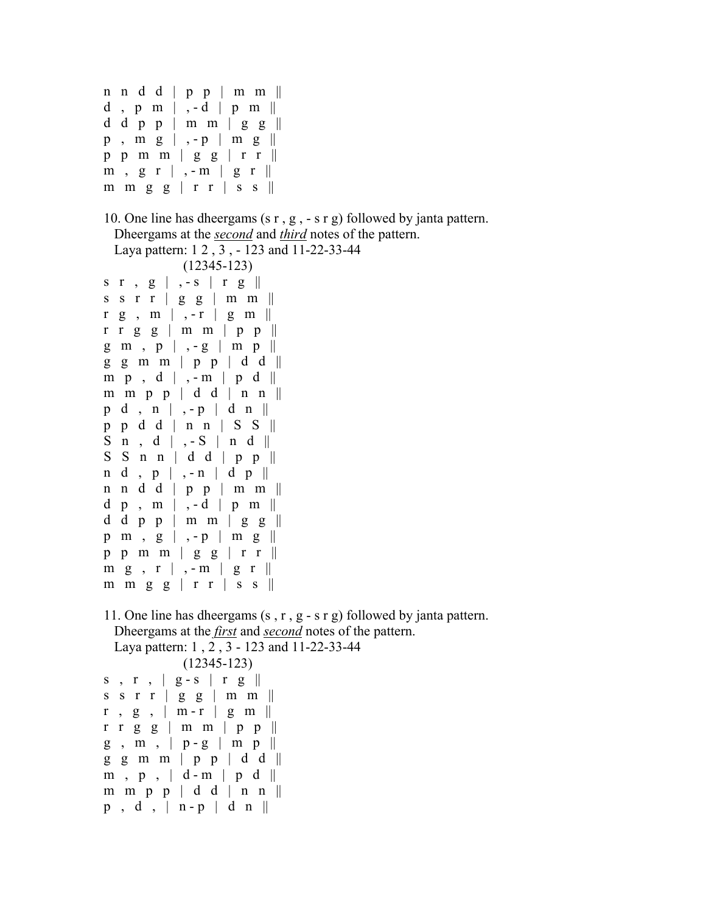```
n n d d | p p | m m || 
d, p m \vert , -d \vert p m \Vertd d p p | m m | g g \parallelp , m g | , - p | m g || 
p p m m | g g | r r || 
m, g r |, - m | g r |m m g g | r r | s s ||10. One line has dheergams (s r , g , - s r g) followed by janta pattern. 
   Dheergams at the second and third notes of the pattern. 
  Laya pattern: 1 2 , 3 , - 123 and 11-22-33-44 
              (12345-123) 
s r , g | , - s | r g || 
s s r r | g g | m m ||r g, m \mid -r \mid g m \midrr g g | m m | p p ||
g m , p | , - g | m p || 
g g m m | p p | d d || 
m \cdot p \cdot d \mid , -m \mid p \cdot d \midm m p p | d d | n n ||p \ d \, , n \mid , -p \mid d \ n \parallelp p d d | n n | S S || 
S \nvert n \nvert, d \nvert, -S \nvert n \nvert d \nvert.S \ S \ n \ n \ | \ d \ d \ | \ p \ p \ ||n \ d \, , p \, | \, , -n \, | \ d \, p \, |n n d d | p p | m m || 
d p , m | , - d | p m ||d d p p | m m | g g \parallelp \ m \ q \ g \ | \ -p \ | \ m \ g \ ||p p m m | g g | r r \parallelm g, r \mid, - m \mid g r \midm m g g | r r | s s ||11. One line has dheergams (s , r , g - s r g) followed by janta pattern. 
  Dheergams at the first and second notes of the pattern. 
  Laya pattern: 1 , 2 , 3 - 123 and 11-22-33-44 
              (12345-123) 
s, r, |g-s| r g ||s s r r | g g | m m ||r, g, \mid m-r \mid g, m \midrr g g \mid m m \mid p p \midg, m, | p - g | mp||
```
 $g \text{ g m m}$  | p p | d d ||  $m$ ,  $p$ ,  $d-m$  |  $p$   $d$  || m m p p  $\vert$  d d  $\vert$  n n  $\vert \vert$  $p$ , d, | n - p | d n ||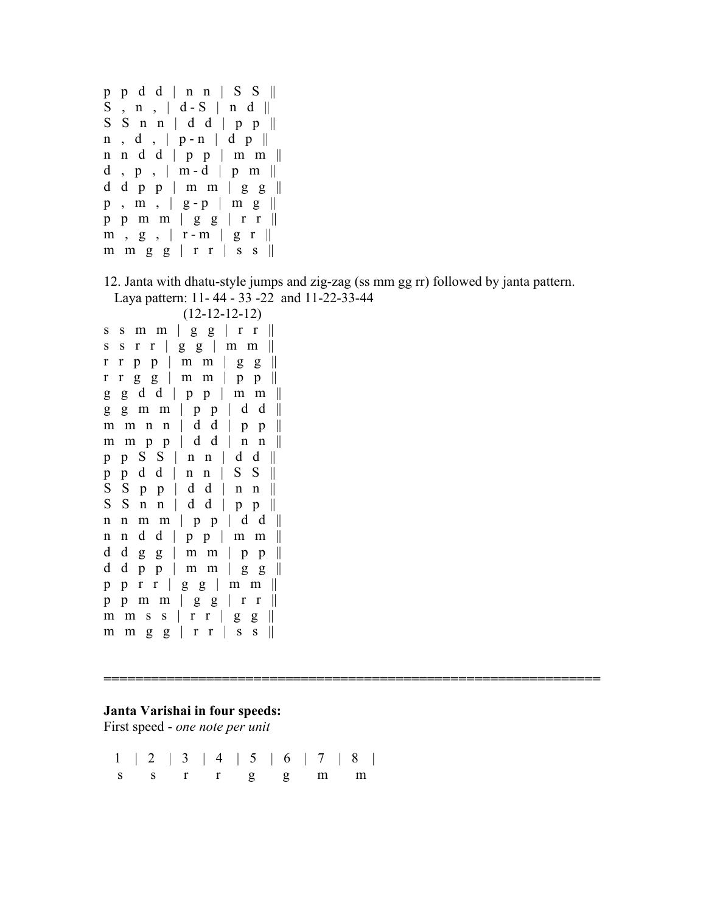p p d d | n n | S S ||  $S$ ,  $n$ ,  $d-S$  |  $n d$  ||  $S \ S \ n \ n \ | \ d \ d \ | \ p \ p \ ||$  $n$ ,  $d$ ,  $| p - n | d p |$ n n d d | p p | m m ||  $d, p, \mid m-d \mid p m \mid$ d d p p | m m | g g  $\parallel$  $p$ ,  $m$ ,  $g - p$  |  $m$   $g$  || p p m m | g g | r r ||  $m, g, \vert r-m \vert g r \Vert$ m m g g  $|$  r r  $|$  s s  $||$ 

12. Janta with dhatu-style jumps and zig-zag (ss mm gg rr) followed by janta pattern. Laya pattern: 11- 44 - 33 -22 and 11-22-33-44

**===============================================================** 

```
 (12-12-12-12) 
s s m m | g g | r r \parallels s r r | g g | m m || 
\mathbf{r} \mathbf{r} \mathbf{p} \mathbf{p} | \mathbf{m} \mathbf{m} | \mathbf{g} \mathbf{g} ||
r r g g | m m | p p || 
g \, g \, d \, d \mid p \, p \mid m \, m \parallelg g m m | p p | d d || 
m \, m \, n \, n \, d \, d \, p \, p \, mm \, m \, p \, p \, d \, d \, m \, n \, mp p S S | n n | d d || 
p p d d | n n | S S || 
S S p p | d d | n n ||S \ S \ n \ n \ | \ d \ d \ | \ p \ p \ ||n \, \text{m} \, \text{m} \, \mid p \, \text{p} \, \mid d \, d \, \paralleln n d d | p p | m m || 
d d g g | m m | p p \paralleld d p p \mid m m \mid g g \parallelp p r r | g g | m m || 
p p m m | g g | r r || 
m m s s \vert r r \vert g g \vert \vertm m g g | r r | s s ||
```
#### **Janta Varishai in four speeds:**

First speed - *one note per unit*

 1 | 2 | 3 | 4 | 5 | 6 | 7 | 8 | s s r r g g m m